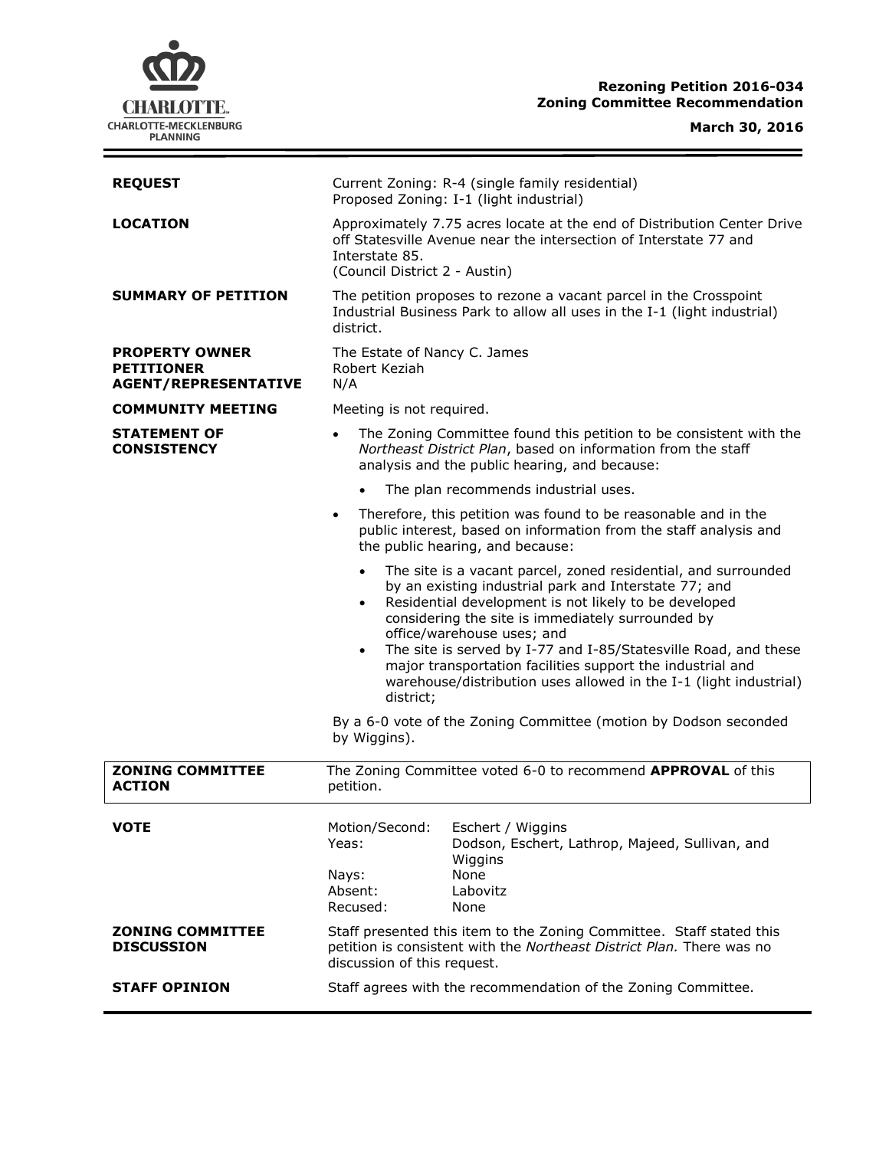# **CHARLOTTE.** CHARLOTTE-MECKLENBURG<br>PLANNING

## **Rezoning Petition 2016-034 Zoning Committee Recommendation**

## **March 30, 2016**

| <b>LOCATION</b><br>Approximately 7.75 acres locate at the end of Distribution Center Drive<br>off Statesville Avenue near the intersection of Interstate 77 and<br>Interstate 85.<br>(Council District 2 - Austin)<br><b>SUMMARY OF PETITION</b><br>The petition proposes to rezone a vacant parcel in the Crosspoint<br>Industrial Business Park to allow all uses in the I-1 (light industrial)<br>district.<br>The Estate of Nancy C. James<br><b>PROPERTY OWNER</b><br>Robert Keziah<br><b>PETITIONER</b><br><b>AGENT/REPRESENTATIVE</b><br>N/A<br><b>COMMUNITY MEETING</b> |
|---------------------------------------------------------------------------------------------------------------------------------------------------------------------------------------------------------------------------------------------------------------------------------------------------------------------------------------------------------------------------------------------------------------------------------------------------------------------------------------------------------------------------------------------------------------------------------|
|                                                                                                                                                                                                                                                                                                                                                                                                                                                                                                                                                                                 |
|                                                                                                                                                                                                                                                                                                                                                                                                                                                                                                                                                                                 |
|                                                                                                                                                                                                                                                                                                                                                                                                                                                                                                                                                                                 |
| Meeting is not required.                                                                                                                                                                                                                                                                                                                                                                                                                                                                                                                                                        |
| <b>STATEMENT OF</b><br>The Zoning Committee found this petition to be consistent with the<br>$\bullet$<br>Northeast District Plan, based on information from the staff<br><b>CONSISTENCY</b><br>analysis and the public hearing, and because:                                                                                                                                                                                                                                                                                                                                   |
| The plan recommends industrial uses.                                                                                                                                                                                                                                                                                                                                                                                                                                                                                                                                            |
| Therefore, this petition was found to be reasonable and in the<br>$\bullet$<br>public interest, based on information from the staff analysis and<br>the public hearing, and because:                                                                                                                                                                                                                                                                                                                                                                                            |
| The site is a vacant parcel, zoned residential, and surrounded<br>$\bullet$<br>by an existing industrial park and Interstate 77; and<br>Residential development is not likely to be developed<br>$\bullet$<br>considering the site is immediately surrounded by<br>office/warehouse uses; and<br>The site is served by I-77 and I-85/Statesville Road, and these<br>$\bullet$<br>major transportation facilities support the industrial and<br>warehouse/distribution uses allowed in the I-1 (light industrial)<br>district;                                                   |
| By a 6-0 vote of the Zoning Committee (motion by Dodson seconded<br>by Wiggins).                                                                                                                                                                                                                                                                                                                                                                                                                                                                                                |
| <b>ZONING COMMITTEE</b><br>The Zoning Committee voted 6-0 to recommend APPROVAL of this<br><b>ACTION</b><br>petition.                                                                                                                                                                                                                                                                                                                                                                                                                                                           |
| <b>VOTE</b><br>Motion/Second:<br>Eschert / Wiggins<br>Yeas:<br>Dodson, Eschert, Lathrop, Majeed, Sullivan, and<br>Wiggins<br>None<br>Nays:                                                                                                                                                                                                                                                                                                                                                                                                                                      |
| Absent:<br>Labovitz<br>Recused:<br>None                                                                                                                                                                                                                                                                                                                                                                                                                                                                                                                                         |
| <b>ZONING COMMITTEE</b><br>Staff presented this item to the Zoning Committee. Staff stated this<br>petition is consistent with the Northeast District Plan. There was no<br><b>DISCUSSION</b><br>discussion of this request.                                                                                                                                                                                                                                                                                                                                                    |
| Staff agrees with the recommendation of the Zoning Committee.<br><b>STAFF OPINION</b>                                                                                                                                                                                                                                                                                                                                                                                                                                                                                           |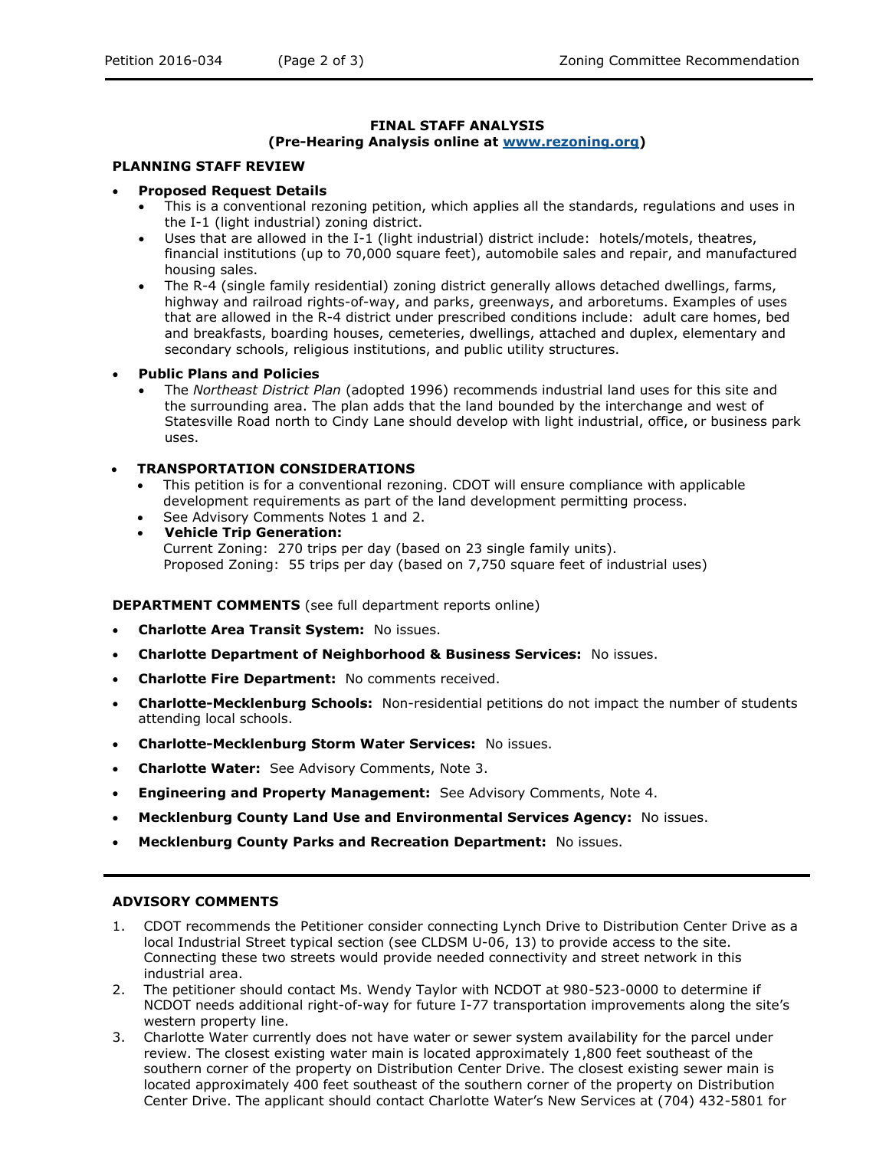#### **FINAL STAFF ANALYSIS**

## **(Pre-Hearing Analysis online at [www.rezoning.org\)](http://www.rezoning.org/)**

#### **PLANNING STAFF REVIEW**

#### **Proposed Request Details**

- This is a conventional rezoning petition, which applies all the standards, regulations and uses in the I-1 (light industrial) zoning district.
- Uses that are allowed in the I-1 (light industrial) district include: hotels/motels, theatres, financial institutions (up to 70,000 square feet), automobile sales and repair, and manufactured housing sales.
- The R-4 (single family residential) zoning district generally allows detached dwellings, farms, highway and railroad rights-of-way, and parks, greenways, and arboretums. Examples of uses that are allowed in the R-4 district under prescribed conditions include: adult care homes, bed and breakfasts, boarding houses, cemeteries, dwellings, attached and duplex, elementary and secondary schools, religious institutions, and public utility structures.

#### **Public Plans and Policies**

 The *Northeast District Plan* (adopted 1996) recommends industrial land uses for this site and the surrounding area. The plan adds that the land bounded by the interchange and west of Statesville Road north to Cindy Lane should develop with light industrial, office, or business park uses.

#### **TRANSPORTATION CONSIDERATIONS**

- This petition is for a conventional rezoning. CDOT will ensure compliance with applicable development requirements as part of the land development permitting process.
- See Advisory Comments Notes 1 and 2.
- **Vehicle Trip Generation:** Current Zoning: 270 trips per day (based on 23 single family units). Proposed Zoning: 55 trips per day (based on 7,750 square feet of industrial uses)

### **DEPARTMENT COMMENTS** (see full department reports online)

- **Charlotte Area Transit System:** No issues.
- **Charlotte Department of Neighborhood & Business Services:** No issues.
- **Charlotte Fire Department:** No comments received.
- **Charlotte-Mecklenburg Schools:** Non-residential petitions do not impact the number of students attending local schools.
- **Charlotte-Mecklenburg Storm Water Services:** No issues.
- **Charlotte Water:** See Advisory Comments, Note 3.
- **Engineering and Property Management:** See Advisory Comments, Note 4.
- **Mecklenburg County Land Use and Environmental Services Agency:** No issues.
- **Mecklenburg County Parks and Recreation Department:** No issues.

## **ADVISORY COMMENTS**

- 1. CDOT recommends the Petitioner consider connecting Lynch Drive to Distribution Center Drive as a local Industrial Street typical section (see CLDSM U-06, 13) to provide access to the site. Connecting these two streets would provide needed connectivity and street network in this industrial area.
- 2. The petitioner should contact Ms. Wendy Taylor with NCDOT at 980-523-0000 to determine if NCDOT needs additional right-of-way for future I-77 transportation improvements along the site's western property line.
- 3. Charlotte Water currently does not have water or sewer system availability for the parcel under review. The closest existing water main is located approximately 1,800 feet southeast of the southern corner of the property on Distribution Center Drive. The closest existing sewer main is located approximately 400 feet southeast of the southern corner of the property on Distribution Center Drive. The applicant should contact Charlotte Water's New Services at (704) 432-5801 for